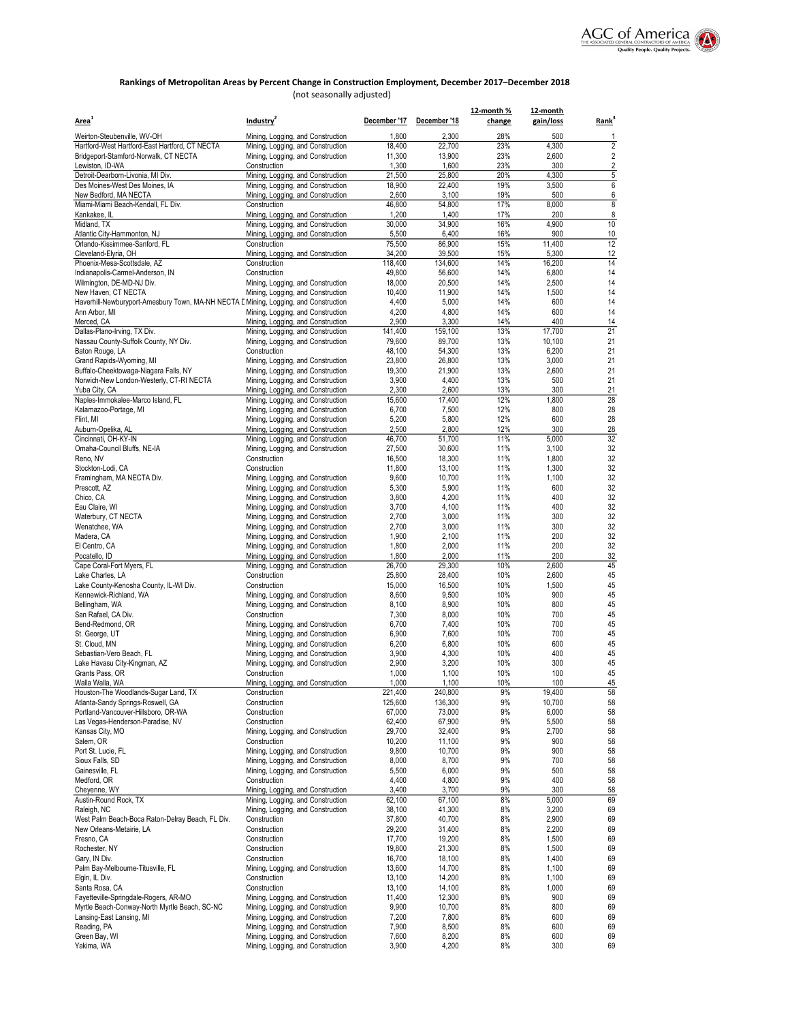

# Rankings of Metropolitan Areas by Percent Change in Construction Employment, December 2017–December 2018

(not seasonally adjusted)

| Area <sup>1</sup>                                                                                           | Industry <sup>2</sup>                                                  | December '17     | December '18     | 12-month %<br>change | 12-month<br>gain/loss | Rank           |
|-------------------------------------------------------------------------------------------------------------|------------------------------------------------------------------------|------------------|------------------|----------------------|-----------------------|----------------|
|                                                                                                             |                                                                        | 1,800            | 2,300            | 28%                  | 500                   | 1              |
| Weirton-Steubenville, WV-OH<br>Hartford-West Hartford-East Hartford, CT NECTA                               | Mining, Logging, and Construction<br>Mining, Logging, and Construction | 18,400           | 22,700           | 23%                  | 4,300                 | $\overline{2}$ |
| Bridgeport-Stamford-Norwalk, CT NECTA                                                                       | Mining, Logging, and Construction                                      | 11,300           | 13,900           | 23%                  | 2,600                 | 2              |
| Lewiston, ID-WA                                                                                             | Construction                                                           | 1,300            | 1,600            | 23%                  | 300                   | $\overline{2}$ |
| Detroit-Dearborn-Livonia, MI Div.                                                                           | Mining, Logging, and Construction                                      | 21,500           | 25,800           | 20%                  | 4,300                 | 5              |
| Des Moines-West Des Moines, IA<br>New Bedford, MA NECTA                                                     | Mining, Logging, and Construction<br>Mining, Logging, and Construction | 18,900<br>2,600  | 22,400<br>3,100  | 19%<br>19%           | 3,500<br>500          | 6<br>6         |
| Miami-Miami Beach-Kendall, FL Div.                                                                          | Construction                                                           | 46,800           | 54,800           | 17%                  | 8,000                 | 8              |
| Kankakee, IL                                                                                                | Mining, Logging, and Construction                                      | 1,200            | 1,400            | 17%                  | 200                   | 8              |
| Midland, TX                                                                                                 | Mining, Logging, and Construction                                      | 30,000           | 34,900           | 16%                  | 4,900                 | 10             |
| Atlantic City-Hammonton, NJ                                                                                 | Mining, Logging, and Construction                                      | 5,500            | 6,400            | 16%                  | 900                   | 10<br>12       |
| Orlando-Kissimmee-Sanford, FL<br>Cleveland-Elyria, OH                                                       | Construction<br>Mining, Logging, and Construction                      | 75.500<br>34,200 | 86,900<br>39,500 | 15%<br>15%           | 11,400<br>5,300       | 12             |
| Phoenix-Mesa-Scottsdale, AZ                                                                                 | Construction                                                           | 118,400          | 134,600          | 14%                  | 16,200                | 14             |
| Indianapolis-Carmel-Anderson, IN                                                                            | Construction                                                           | 49,800           | 56,600           | 14%                  | 6,800                 | 14             |
| Wilmington, DE-MD-NJ Div.                                                                                   | Mining, Logging, and Construction                                      | 18,000           | 20,500           | 14%                  | 2,500                 | 14             |
| New Haven, CT NECTA<br>Haverhill-Newburyport-Amesbury Town, MA-NH NECTA L Mining, Logging, and Construction | Mining, Logging, and Construction                                      | 10,400<br>4,400  | 11,900<br>5,000  | 14%<br>14%           | 1,500<br>600          | 14<br>14       |
| Ann Arbor, MI                                                                                               | Mining, Logging, and Construction                                      | 4,200            | 4,800            | 14%                  | 600                   | 14             |
| Merced, CA                                                                                                  | Mining, Logging, and Construction                                      | 2,900            | 3,300            | 14%                  | 400                   | 14             |
| Dallas-Plano-Irving, TX Div.                                                                                | Mining, Logging, and Construction                                      | 141,400          | 159,100          | 13%                  | 17,700                | 21             |
| Nassau County-Suffolk County, NY Div.                                                                       | Mining, Logging, and Construction                                      | 79,600           | 89,700<br>54,300 | 13%<br>13%           | 10,100                | 21<br>21       |
| Baton Rouge, LA<br>Grand Rapids-Wyoming, MI                                                                 | Construction<br>Mining, Logging, and Construction                      | 48,100<br>23,800 | 26,800           | 13%                  | 6,200<br>3,000        | 21             |
| Buffalo-Cheektowaga-Niagara Falls, NY                                                                       | Mining, Logging, and Construction                                      | 19,300           | 21,900           | 13%                  | 2,600                 | 21             |
| Norwich-New London-Westerly, CT-RI NECTA                                                                    | Mining, Logging, and Construction                                      | 3,900            | 4,400            | 13%                  | 500                   | 21             |
| Yuba City, CA                                                                                               | Mining, Logging, and Construction                                      | 2,300            | 2,600            | 13%                  | 300                   | 21             |
| Naples-Immokalee-Marco Island, FL<br>Kalamazoo-Portage, MI                                                  | Mining, Logging, and Construction<br>Mining, Logging, and Construction | 15,600<br>6,700  | 17,400<br>7,500  | 12%<br>12%           | 1,800<br>800          | 28<br>28       |
| Flint, MI                                                                                                   | Mining, Logging, and Construction                                      | 5,200            | 5,800            | 12%                  | 600                   | 28             |
| Auburn-Opelika, AL                                                                                          | Mining, Logging, and Construction                                      | 2,500            | 2,800            | 12%                  | 300                   | 28             |
| Cincinnati, OH-KY-IN                                                                                        | Mining, Logging, and Construction                                      | 46,700           | 51.700           | 11%                  | 5,000                 | 32             |
| Omaha-Council Bluffs, NE-IA                                                                                 | Mining, Logging, and Construction                                      | 27,500           | 30,600           | 11%                  | 3,100                 | 32             |
| Reno, NV<br>Stockton-Lodi, CA                                                                               | Construction<br>Construction                                           | 16,500<br>11,800 | 18,300<br>13,100 | 11%<br>11%           | 1,800<br>1,300        | 32<br>32       |
| Framingham, MA NECTA Div.                                                                                   | Mining, Logging, and Construction                                      | 9,600            | 10,700           | 11%                  | 1,100                 | 32             |
| Prescott, AZ                                                                                                | Mining, Logging, and Construction                                      | 5,300            | 5,900            | 11%                  | 600                   | 32             |
| Chico, CA                                                                                                   | Mining, Logging, and Construction                                      | 3,800            | 4,200            | 11%                  | 400                   | 32             |
| Eau Claire, WI<br>Waterbury, CT NECTA                                                                       | Mining, Logging, and Construction<br>Mining, Logging, and Construction | 3,700<br>2,700   | 4,100<br>3,000   | 11%<br>11%           | 400<br>300            | 32<br>32       |
| Wenatchee, WA                                                                                               | Mining, Logging, and Construction                                      | 2,700            | 3,000            | 11%                  | 300                   | 32             |
| Madera, CA                                                                                                  | Mining, Logging, and Construction                                      | 1,900            | 2,100            | 11%                  | 200                   | 32             |
| El Centro, CA                                                                                               | Mining, Logging, and Construction                                      | 1,800            | 2,000            | 11%                  | 200                   | 32             |
| Pocatello, ID<br>Cape Coral-Fort Myers, FL                                                                  | Mining, Logging, and Construction<br>Mining, Logging, and Construction | 1,800<br>26,700  | 2,000<br>29,300  | 11%<br>10%           | 200<br>2,600          | 32<br>45       |
| Lake Charles, LA                                                                                            | Construction                                                           | 25,800           | 28,400           | 10%                  | 2,600                 | 45             |
| Lake County-Kenosha County, IL-WI Div.                                                                      | Construction                                                           | 15,000           | 16,500           | 10%                  | 1,500                 | 45             |
| Kennewick-Richland, WA                                                                                      | Mining, Logging, and Construction                                      | 8,600            | 9,500            | 10%                  | 900                   | 45             |
| Bellingham, WA<br>San Rafael, CA Div.                                                                       | Mining, Logging, and Construction                                      | 8,100            | 8,900            | 10%                  | 800                   | 45             |
| Bend-Redmond, OR                                                                                            | Construction<br>Mining, Logging, and Construction                      | 7,300<br>6,700   | 8,000<br>7,400   | 10%<br>10%           | 700<br>700            | 45<br>45       |
| St. George, UT                                                                                              | Mining, Logging, and Construction                                      | 6,900            | 7,600            | 10%                  | 700                   | 45             |
| St. Cloud, MN                                                                                               | Mining, Logging, and Construction                                      | 6,200            | 6,800            | 10%                  | 600                   | 45             |
| Sebastian-Vero Beach, FL                                                                                    | Mining, Logging, and Construction                                      | 3,900            | 4,300            | 10%                  | 400                   | 45             |
| Lake Havasu City-Kingman, AZ<br>Grants Pass, OR                                                             | Mining, Logging, and Construction<br>Construction                      | 2,900<br>1,000   | 3,200<br>1,100   | 10%<br>10%           | 300<br>100            | 45<br>45       |
| Walla Walla, WA                                                                                             | Mining, Logging, and Construction                                      | 1,000            | 1,100            | 10%                  | 100                   | 45             |
| Houston-The Woodlands-Sugar Land, TX                                                                        | Construction                                                           | 221,400          | 240,800          | 9%                   | 19,400                | 58             |
| Atlanta-Sandy Springs-Roswell, GA                                                                           | Construction                                                           | 125,600          | 136,300          | 9%                   | 10,700                | 58             |
| Portland-Vancouver-Hillsboro, OR-WA<br>Las Vegas-Henderson-Paradise, NV                                     | Construction<br>Construction                                           | 67,000<br>62,400 | 73,000<br>67,900 | 9%<br>9%             | 6,000                 | 58<br>58       |
| Kansas City, MO                                                                                             | Mining, Logging, and Construction                                      | 29,700           | 32,400           | 9%                   | 5,500<br>2,700        | 58             |
| Salem, OR                                                                                                   | Construction                                                           | 10,200           | 11,100           | 9%                   | 900                   | 58             |
| Port St. Lucie, FL                                                                                          | Mining, Logging, and Construction                                      | 9,800            | 10,700           | 9%                   | 900                   | 58             |
| Sioux Falls, SD<br>Gainesville, FL                                                                          | Mining, Logging, and Construction                                      | 8,000            | 8,700            | 9%<br>9%             | 700                   | 58             |
| Medford, OR                                                                                                 | Mining, Logging, and Construction<br>Construction                      | 5,500<br>4,400   | 6,000<br>4,800   | 9%                   | 500<br>400            | 58<br>58       |
| Cheyenne, WY                                                                                                | Mining, Logging, and Construction                                      | 3,400            | 3,700            | 9%                   | 300                   | 58             |
| Austin-Round Rock, TX                                                                                       | Mining, Logging, and Construction                                      | 62,100           | 67,100           | 8%                   | 5,000                 | 69             |
| Raleigh, NC                                                                                                 | Mining, Logging, and Construction                                      | 38,100           | 41,300           | 8%                   | 3,200                 | 69             |
| West Palm Beach-Boca Raton-Delray Beach, FL Div.<br>New Orleans-Metairie, LA                                | Construction<br>Construction                                           | 37,800<br>29,200 | 40,700<br>31,400 | 8%<br>8%             | 2,900<br>2,200        | 69<br>69       |
| Fresno, CA                                                                                                  | Construction                                                           | 17,700           | 19,200           | 8%                   | 1,500                 | 69             |
| Rochester, NY                                                                                               | Construction                                                           | 19,800           | 21,300           | 8%                   | 1,500                 | 69             |
| Gary, IN Div.                                                                                               | Construction                                                           | 16,700           | 18,100           | 8%                   | 1,400                 | 69             |
| Palm Bay-Melbourne-Titusville, FL                                                                           | Mining, Logging, and Construction                                      | 13,600<br>13,100 | 14,700<br>14,200 | 8%<br>8%             | 1,100                 | 69<br>69       |
| Elgin, IL Div.<br>Santa Rosa, CA                                                                            | Construction<br>Construction                                           | 13,100           | 14,100           | 8%                   | 1,100<br>1,000        | 69             |
| Fayetteville-Springdale-Rogers, AR-MO                                                                       | Mining, Logging, and Construction                                      | 11,400           | 12,300           | 8%                   | 900                   | 69             |
| Myrtle Beach-Conway-North Myrtle Beach, SC-NC                                                               | Mining, Logging, and Construction                                      | 9,900            | 10,700           | 8%                   | 800                   | 69             |
| Lansing-East Lansing, MI                                                                                    | Mining, Logging, and Construction                                      | 7,200            | 7,800            | 8%                   | 600                   | 69             |
| Reading, PA<br>Green Bay, WI                                                                                | Mining, Logging, and Construction<br>Mining, Logging, and Construction | 7,900<br>7,600   | 8,500<br>8,200   | 8%<br>8%             | 600<br>600            | 69<br>69       |
| Yakima, WA                                                                                                  | Mining, Logging, and Construction                                      | 3,900            | 4,200            | 8%                   | 300                   | 69             |
|                                                                                                             |                                                                        |                  |                  |                      |                       |                |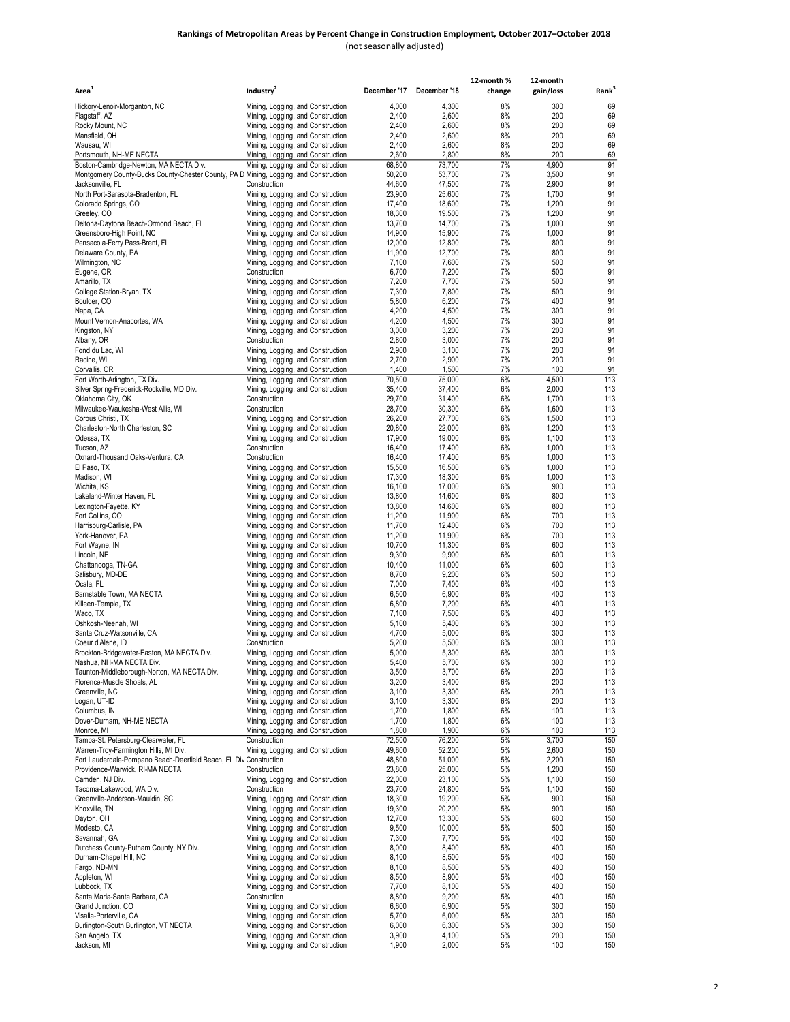| Area <sup>+</sup>                                                                                     | Industry <sup>2</sup>                                                  |                  | December '17 December '18 | 12-month %<br>change | 12-month<br>gain/loss | Rank <sup>3</sup> |
|-------------------------------------------------------------------------------------------------------|------------------------------------------------------------------------|------------------|---------------------------|----------------------|-----------------------|-------------------|
| Hickory-Lenoir-Morganton, NC                                                                          | Mining, Logging, and Construction                                      | 4,000            | 4,300                     | 8%                   | 300                   | 69                |
| Flagstaff, AZ                                                                                         | Mining, Logging, and Construction                                      | 2,400            | 2,600                     | 8%                   | 200                   | 69                |
| Rocky Mount, NC                                                                                       | Mining, Logging, and Construction                                      | 2,400            | 2,600                     | 8%                   | 200                   | 69                |
| Mansfield, OH                                                                                         | Mining, Logging, and Construction                                      | 2,400            | 2,600                     | 8%                   | 200                   | 69                |
| Wausau, WI<br>Portsmouth, NH-ME NECTA                                                                 | Mining, Logging, and Construction<br>Mining, Logging, and Construction | 2,400<br>2,600   | 2,600<br>2,800            | 8%<br>8%             | 200<br>200            | 69<br>69          |
| Boston-Cambridge-Newton, MA NECTA Div.                                                                | Mining, Logging, and Construction                                      | 68,800           | 73,700                    | 7%                   | 4,900                 | 91                |
| Montgomery County-Bucks County-Chester County, PA D Mining, Logging, and Construction                 |                                                                        | 50,200           | 53,700                    | 7%                   | 3,500                 | 91                |
| Jacksonville, FL                                                                                      | Construction                                                           | 44,600           | 47,500                    | 7%                   | 2,900                 | 91                |
| North Port-Sarasota-Bradenton, FL                                                                     | Mining, Logging, and Construction                                      | 23,900           | 25,600                    | 7%                   | 1,700                 | 91                |
| Colorado Springs, CO<br>Greeley, CO                                                                   | Mining, Logging, and Construction<br>Mining, Logging, and Construction | 17,400<br>18,300 | 18,600<br>19,500          | 7%<br>7%             | 1,200<br>1,200        | 91<br>91          |
| Deltona-Daytona Beach-Ormond Beach, FL                                                                | Mining, Logging, and Construction                                      | 13.700           | 14,700                    | 7%                   | 1,000                 | 91                |
| Greensboro-High Point, NC                                                                             | Mining, Logging, and Construction                                      | 14,900           | 15,900                    | 7%                   | 1,000                 | 91                |
| Pensacola-Ferry Pass-Brent, FL                                                                        | Mining, Logging, and Construction                                      | 12,000           | 12,800                    | 7%                   | 800                   | 91                |
| Delaware County, PA                                                                                   | Mining, Logging, and Construction                                      | 11,900           | 12,700                    | 7%                   | 800                   | 91                |
| Wilmington, NC<br>Eugene, OR                                                                          | Mining, Logging, and Construction<br>Construction                      | 7,100<br>6,700   | 7,600<br>7,200            | 7%<br>7%             | 500<br>500            | 91<br>91          |
| Amarillo, TX                                                                                          | Mining, Logging, and Construction                                      | 7,200            | 7,700                     | 7%                   | 500                   | 91                |
| College Station-Bryan, TX                                                                             | Mining, Logging, and Construction                                      | 7,300            | 7,800                     | 7%                   | 500                   | 91                |
| Boulder, CO                                                                                           | Mining, Logging, and Construction                                      | 5,800            | 6,200                     | 7%                   | 400                   | 91                |
| Napa, CA                                                                                              | Mining, Logging, and Construction                                      | 4,200            | 4,500                     | 7%                   | 300                   | 91                |
| Mount Vernon-Anacortes, WA                                                                            | Mining, Logging, and Construction                                      | 4,200            | 4,500<br>3,200            | 7%<br>7%             | 300<br>200            | 91<br>91          |
| Kingston, NY<br>Albany, OR                                                                            | Mining, Logging, and Construction<br>Construction                      | 3,000<br>2,800   | 3,000                     | 7%                   | 200                   | 91                |
| Fond du Lac, WI                                                                                       | Mining, Logging, and Construction                                      | 2,900            | 3,100                     | 7%                   | 200                   | 91                |
| Racine, WI                                                                                            | Mining, Logging, and Construction                                      | 2,700            | 2,900                     | 7%                   | 200                   | 91                |
| Corvallis, OR                                                                                         | Mining, Logging, and Construction                                      | 1,400            | 1,500                     | 7%                   | 100                   | 91                |
| Fort Worth-Arlington, TX Div.                                                                         | Mining, Logging, and Construction                                      | 70,500           | 75.000                    | 6%                   | 4,500                 | 113               |
| Silver Spring-Frederick-Rockville, MD Div.<br>Oklahoma City, OK                                       | Mining, Logging, and Construction<br>Construction                      | 35,400<br>29,700 | 37,400<br>31,400          | 6%<br>6%             | 2,000<br>1,700        | 113<br>113        |
| Milwaukee-Waukesha-West Allis, WI                                                                     | Construction                                                           | 28,700           | 30.300                    | 6%                   | 1,600                 | 113               |
| Corpus Christi, TX                                                                                    | Mining, Logging, and Construction                                      | 26,200           | 27,700                    | 6%                   | 1,500                 | 113               |
| Charleston-North Charleston, SC                                                                       | Mining, Logging, and Construction                                      | 20,800           | 22,000                    | 6%                   | 1,200                 | 113               |
| Odessa, TX                                                                                            | Mining, Logging, and Construction                                      | 17,900           | 19,000                    | 6%                   | 1,100                 | 113               |
| Tucson, AZ                                                                                            | Construction<br>Construction                                           | 16,400           | 17,400<br>17,400          | 6%<br>6%             | 1,000                 | 113<br>113        |
| Oxnard-Thousand Oaks-Ventura, CA<br>El Paso, TX                                                       | Mining, Logging, and Construction                                      | 16,400<br>15,500 | 16,500                    | 6%                   | 1,000<br>1,000        | 113               |
| Madison, WI                                                                                           | Mining, Logging, and Construction                                      | 17,300           | 18,300                    | 6%                   | 1,000                 | 113               |
| Wichita, KS                                                                                           | Mining, Logging, and Construction                                      | 16,100           | 17,000                    | 6%                   | 900                   | 113               |
| Lakeland-Winter Haven, FL                                                                             | Mining, Logging, and Construction                                      | 13,800           | 14,600                    | 6%                   | 800                   | 113               |
| Lexington-Fayette, KY                                                                                 | Mining, Logging, and Construction                                      | 13,800           | 14,600                    | 6%                   | 800                   | 113               |
| Fort Collins, CO<br>Harrisburg-Carlisle, PA                                                           | Mining, Logging, and Construction<br>Mining, Logging, and Construction | 11,200<br>11,700 | 11,900<br>12,400          | 6%<br>6%             | 700<br>700            | 113<br>113        |
| York-Hanover, PA                                                                                      | Mining, Logging, and Construction                                      | 11,200           | 11,900                    | 6%                   | 700                   | 113               |
| Fort Wayne, IN                                                                                        | Mining, Logging, and Construction                                      | 10,700           | 11,300                    | 6%                   | 600                   | 113               |
| Lincoln, NE                                                                                           | Mining, Logging, and Construction                                      | 9,300            | 9,900                     | 6%                   | 600                   | 113               |
| Chattanooga, TN-GA                                                                                    | Mining, Logging, and Construction                                      | 10,400           | 11,000                    | 6%                   | 600                   | 113               |
| Salisbury, MD-DE<br>Ocala, FL                                                                         | Mining, Logging, and Construction<br>Mining, Logging, and Construction | 8,700<br>7,000   | 9,200<br>7,400            | 6%<br>6%             | 500<br>400            | 113<br>113        |
| Barnstable Town, MA NECTA                                                                             | Mining, Logging, and Construction                                      | 6,500            | 6,900                     | 6%                   | 400                   | 113               |
| Killeen-Temple, TX                                                                                    | Mining, Logging, and Construction                                      | 6,800            | 7,200                     | 6%                   | 400                   | 113               |
| Waco, TX                                                                                              | Mining, Logging, and Construction                                      | 7,100            | 7,500                     | 6%                   | 400                   | 113               |
| Oshkosh-Neenah, WI                                                                                    | Mining, Logging, and Construction                                      | 5,100            | 5,400                     | 6%                   | 300                   | 113               |
| Santa Cruz-Watsonville, CA<br>Coeur d'Alene, ID                                                       | Mining, Logging, and Construction<br>Construction                      | 4,700<br>5,200   | 5,000<br>5,500            | 6%<br>6%             | 300<br>300            | 113<br>113        |
| Brockton-Bridgewater-Easton, MA NECTA Div.                                                            | Mining, Logging, and Construction                                      | 5,000            | 5,300                     | 6%                   | 300                   | 113               |
| Nashua, NH-MA NECTA Div.                                                                              | Mining, Logging, and Construction                                      | 5,400            | 5,700                     | 6%                   | 300                   | 113               |
| Taunton-Middleborough-Norton, MA NECTA Div.                                                           | Mining, Logging, and Construction                                      | 3,500            | 3,700                     | 6%                   | 200                   | 113               |
| Florence-Muscle Shoals, AL                                                                            | Mining, Logging, and Construction                                      | 3,200            | 3,400                     | 6%                   | 200                   | 113               |
| Greenville, NC                                                                                        | Mining, Logging, and Construction                                      | 3,100            | 3,300                     | 6%<br>6%             | 200                   | 113<br>113        |
| Logan, UT-ID<br>Columbus, IN                                                                          | Mining, Logging, and Construction<br>Mining, Logging, and Construction | 3,100<br>1,700   | 3,300<br>1,800            | 6%                   | 200<br>100            | 113               |
| Dover-Durham, NH-ME NECTA                                                                             | Mining, Logging, and Construction                                      | 1,700            | 1,800                     | 6%                   | 100                   | 113               |
| Monroe, MI                                                                                            | Mining, Logging, and Construction                                      | 1,800            | 1,900                     | 6%                   | 100                   | 113               |
| Tampa-St. Petersburg-Clearwater, FL                                                                   | Construction                                                           | 72,500           | 76,200                    | 5%                   | 3,700                 | 150               |
| Warren-Troy-Farmington Hills, MI Div.                                                                 | Mining, Logging, and Construction                                      | 49,600           | 52,200                    | 5%                   | 2,600                 | 150               |
| Fort Lauderdale-Pompano Beach-Deerfield Beach, FL Div Construction<br>Providence-Warwick, RI-MA NECTA | Construction                                                           | 48,800<br>23,800 | 51,000<br>25,000          | 5%<br>5%             | 2,200<br>1,200        | 150<br>150        |
| Camden, NJ Div.                                                                                       | Mining, Logging, and Construction                                      | 22,000           | 23,100                    | 5%                   | 1,100                 | 150               |
| Tacoma-Lakewood, WA Div.                                                                              | Construction                                                           | 23,700           | 24,800                    | 5%                   | 1,100                 | 150               |
| Greenville-Anderson-Mauldin, SC                                                                       | Mining, Logging, and Construction                                      | 18,300           | 19,200                    | 5%                   | 900                   | 150               |
| Knoxville, TN                                                                                         | Mining, Logging, and Construction                                      | 19,300           | 20,200                    | 5%                   | 900                   | 150               |
| Dayton, OH<br>Modesto, CA                                                                             | Mining, Logging, and Construction<br>Mining, Logging, and Construction | 12,700<br>9,500  | 13,300<br>10,000          | 5%<br>5%             | 600<br>500            | 150<br>150        |
| Savannah, GA                                                                                          | Mining, Logging, and Construction                                      | 7,300            | 7,700                     | 5%                   | 400                   | 150               |
| Dutchess County-Putnam County, NY Div.                                                                | Mining, Logging, and Construction                                      | 8,000            | 8,400                     | 5%                   | 400                   | 150               |
| Durham-Chapel Hill, NC                                                                                | Mining, Logging, and Construction                                      | 8,100            | 8,500                     | 5%                   | 400                   | 150               |
| Fargo, ND-MN                                                                                          | Mining, Logging, and Construction                                      | 8,100            | 8,500                     | 5%                   | 400                   | 150               |
| Appleton, WI<br>Lubbock, TX                                                                           | Mining, Logging, and Construction<br>Mining, Logging, and Construction | 8,500<br>7,700   | 8,900<br>8,100            | 5%<br>5%             | 400<br>400            | 150<br>150        |
| Santa Maria-Santa Barbara, CA                                                                         | Construction                                                           | 8,800            | 9,200                     | 5%                   | 400                   | 150               |
| Grand Junction, CO                                                                                    | Mining, Logging, and Construction                                      | 6,600            | 6,900                     | 5%                   | 300                   | 150               |
| Visalia-Porterville, CA                                                                               | Mining, Logging, and Construction                                      | 5,700            | 6,000                     | 5%                   | 300                   | 150               |
| Burlington-South Burlington, VT NECTA                                                                 | Mining, Logging, and Construction                                      | 6,000            | 6,300                     | 5%                   | 300                   | 150               |
| San Angelo, TX<br>Jackson, MI                                                                         | Mining, Logging, and Construction<br>Mining, Logging, and Construction | 3,900<br>1,900   | 4,100<br>2,000            | 5%<br>5%             | 200<br>100            | 150<br>150        |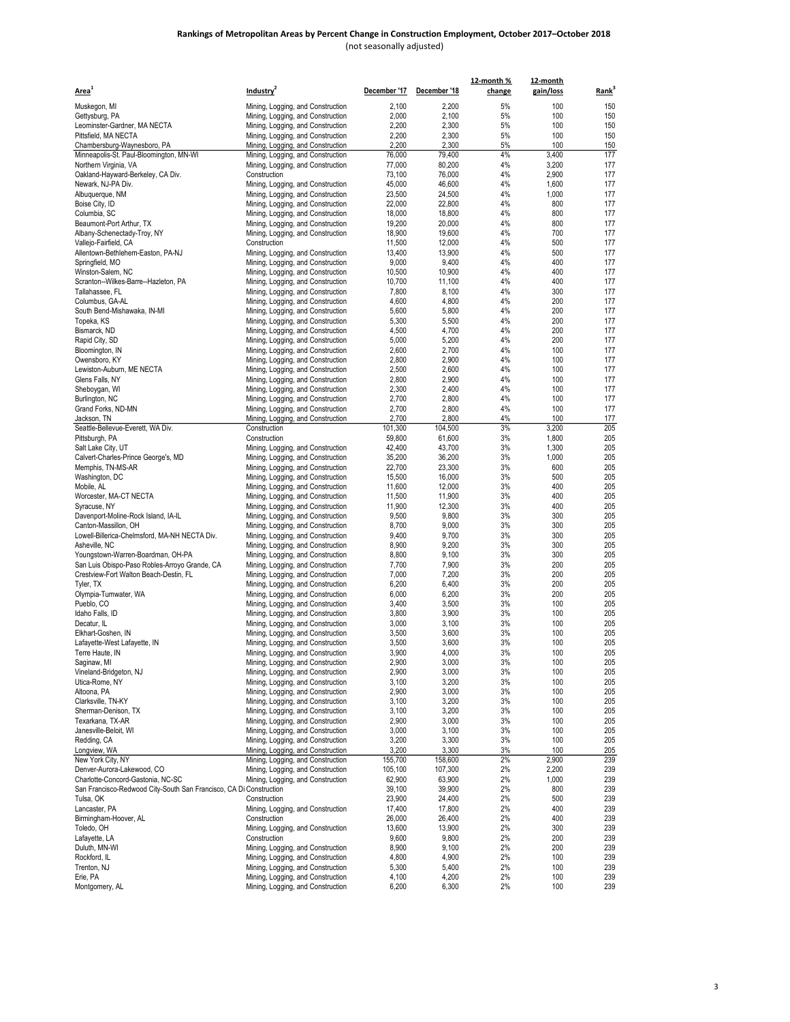| Area <sup>1</sup>                                                                  | Industry <sup>2</sup>                                                  |                  | December '17 December '18 | 12-month %<br>change | 12-month<br>gain/loss | Rank <sup>3</sup> |
|------------------------------------------------------------------------------------|------------------------------------------------------------------------|------------------|---------------------------|----------------------|-----------------------|-------------------|
|                                                                                    |                                                                        |                  |                           |                      |                       |                   |
| Muskegon, MI                                                                       | Mining, Logging, and Construction                                      | 2,100            | 2,200                     | 5%                   | 100                   | 150               |
| Gettysburg, PA                                                                     | Mining, Logging, and Construction                                      | 2,000<br>2,200   | 2,100<br>2,300            | 5%<br>5%             | 100<br>100            | 150<br>150        |
| Leominster-Gardner, MA NECTA<br>Pittsfield, MA NECTA                               | Mining, Logging, and Construction<br>Mining, Logging, and Construction | 2,200            | 2,300                     | 5%                   | 100                   | 150               |
| Chambersburg-Waynesboro, PA                                                        | Mining, Logging, and Construction                                      | 2,200            | 2,300                     | 5%                   | 100                   | 150               |
| Minneapolis-St. Paul-Bloomington, MN-WI                                            | Mining, Logging, and Construction                                      | 76,000           | 79,400                    | 4%                   | 3,400                 | 177               |
| Northern Virginia, VA                                                              | Mining, Logging, and Construction                                      | 77,000           | 80,200                    | 4%                   | 3,200                 | 177               |
| Oakland-Hayward-Berkeley, CA Div.                                                  | Construction                                                           | 73,100           | 76,000                    | 4%                   | 2,900                 | 177               |
| Newark, NJ-PA Div.                                                                 | Mining, Logging, and Construction                                      | 45,000           | 46,600                    | 4%                   | 1,600                 | 177               |
| Albuquerque, NM                                                                    | Mining, Logging, and Construction                                      | 23,500           | 24,500                    | 4%                   | 1,000                 | 177               |
| Boise City, ID<br>Columbia, SC                                                     | Mining, Logging, and Construction                                      | 22,000           | 22.800                    | 4%<br>4%             | 800                   | 177               |
| Beaumont-Port Arthur, TX                                                           | Mining, Logging, and Construction<br>Mining, Logging, and Construction | 18,000<br>19,200 | 18,800<br>20.000          | 4%                   | 800<br>800            | 177<br>177        |
| Albany-Schenectady-Troy, NY                                                        | Mining, Logging, and Construction                                      | 18,900           | 19,600                    | 4%                   | 700                   | 177               |
| Vallejo-Fairfield, CA                                                              | Construction                                                           | 11,500           | 12,000                    | 4%                   | 500                   | 177               |
| Allentown-Bethlehem-Easton, PA-NJ                                                  | Mining, Logging, and Construction                                      | 13,400           | 13,900                    | 4%                   | 500                   | 177               |
| Springfield, MO                                                                    | Mining, Logging, and Construction                                      | 9,000            | 9,400                     | 4%                   | 400                   | 177               |
| Winston-Salem, NC                                                                  | Mining, Logging, and Construction                                      | 10,500           | 10,900                    | 4%                   | 400                   | 177               |
| Scranton--Wilkes-Barre--Hazleton, PA                                               | Mining, Logging, and Construction                                      | 10,700           | 11,100                    | 4%                   | 400                   | 177               |
| Tallahassee, FL                                                                    | Mining, Logging, and Construction                                      | 7,800            | 8,100                     | 4%                   | 300                   | 177               |
| Columbus, GA-AL<br>South Bend-Mishawaka, IN-MI                                     | Mining, Logging, and Construction<br>Mining, Logging, and Construction | 4,600<br>5,600   | 4,800<br>5,800            | 4%<br>4%             | 200<br>200            | 177<br>177        |
| Topeka, KS                                                                         | Mining, Logging, and Construction                                      | 5,300            | 5,500                     | 4%                   | 200                   | 177               |
| Bismarck, ND                                                                       | Mining, Logging, and Construction                                      | 4,500            | 4,700                     | 4%                   | 200                   | 177               |
| Rapid City, SD                                                                     | Mining, Logging, and Construction                                      | 5,000            | 5,200                     | 4%                   | 200                   | 177               |
| Bloomington, IN                                                                    | Mining, Logging, and Construction                                      | 2,600            | 2,700                     | 4%                   | 100                   | 177               |
| Owensboro, KY                                                                      | Mining, Logging, and Construction                                      | 2,800            | 2,900                     | 4%                   | 100                   | 177               |
| Lewiston-Auburn, ME NECTA                                                          | Mining, Logging, and Construction                                      | 2,500            | 2,600                     | 4%                   | 100                   | 177               |
| Glens Falls, NY                                                                    | Mining, Logging, and Construction                                      | 2,800            | 2,900                     | 4%                   | 100                   | 177               |
| Sheboygan, WI<br>Burlington, NC                                                    | Mining, Logging, and Construction                                      | 2,300<br>2,700   | 2,400<br>2,800            | 4%<br>4%             | 100<br>100            | 177<br>177        |
| Grand Forks, ND-MN                                                                 | Mining, Logging, and Construction<br>Mining, Logging, and Construction | 2,700            | 2,800                     | 4%                   | 100                   | 177               |
| Jackson, TN                                                                        | Mining, Logging, and Construction                                      | 2,700            | 2,800                     | 4%                   | 100                   | 177               |
| Seattle-Bellevue-Everett, WA Div.                                                  | Construction                                                           | 101.300          | 104,500                   | 3%                   | 3,200                 | 205               |
| Pittsburgh, PA                                                                     | Construction                                                           | 59,800           | 61,600                    | 3%                   | 1,800                 | 205               |
| Salt Lake City, UT                                                                 | Mining, Logging, and Construction                                      | 42,400           | 43,700                    | 3%                   | 1,300                 | 205               |
| Calvert-Charles-Prince George's, MD                                                | Mining, Logging, and Construction                                      | 35,200           | 36,200                    | 3%                   | 1,000                 | 205               |
| Memphis, TN-MS-AR                                                                  | Mining, Logging, and Construction                                      | 22,700           | 23,300                    | 3%                   | 600                   | 205               |
| Washington, DC<br>Mobile, AL                                                       | Mining, Logging, and Construction<br>Mining, Logging, and Construction | 15,500<br>11,600 | 16,000<br>12,000          | 3%<br>3%             | 500<br>400            | 205<br>205        |
| Worcester, MA-CT NECTA                                                             | Mining, Logging, and Construction                                      | 11,500           | 11,900                    | 3%                   | 400                   | 205               |
| Syracuse, NY                                                                       | Mining, Logging, and Construction                                      | 11,900           | 12,300                    | 3%                   | 400                   | 205               |
| Davenport-Moline-Rock Island, IA-IL                                                | Mining, Logging, and Construction                                      | 9,500            | 9,800                     | 3%                   | 300                   | 205               |
| Canton-Massillon, OH                                                               | Mining, Logging, and Construction                                      | 8,700            | 9,000                     | 3%                   | 300                   | 205               |
| Lowell-Billerica-Chelmsford, MA-NH NECTA Div.                                      | Mining, Logging, and Construction                                      | 9,400            | 9,700                     | 3%                   | 300                   | 205               |
| Asheville, NC                                                                      | Mining, Logging, and Construction                                      | 8,900            | 9,200                     | 3%                   | 300                   | 205               |
| Youngstown-Warren-Boardman, OH-PA<br>San Luis Obispo-Paso Robles-Arroyo Grande, CA | Mining, Logging, and Construction<br>Mining, Logging, and Construction | 8,800<br>7,700   | 9,100<br>7,900            | 3%<br>3%             | 300<br>200            | 205<br>205        |
| Crestview-Fort Walton Beach-Destin, FL                                             | Mining, Logging, and Construction                                      | 7,000            | 7,200                     | 3%                   | 200                   | 205               |
| Tyler, TX                                                                          | Mining, Logging, and Construction                                      | 6,200            | 6,400                     | 3%                   | 200                   | 205               |
| Olympia-Tumwater, WA                                                               | Mining, Logging, and Construction                                      | 6,000            | 6,200                     | 3%                   | 200                   | 205               |
| Pueblo, CO                                                                         | Mining, Logging, and Construction                                      | 3,400            | 3,500                     | 3%                   | 100                   | 205               |
| Idaho Falls, ID                                                                    | Mining, Logging, and Construction                                      | 3,800            | 3,900                     | 3%                   | 100                   | 205               |
| Decatur, IL                                                                        | Mining, Logging, and Construction                                      | 3,000            | 3,100                     | 3%                   | 100                   | 205               |
| Elkhart-Goshen, IN<br>Lafayette-West Lafayette, IN                                 | Mining, Logging, and Construction<br>Mining, Logging, and Construction | 3,500<br>3,500   | 3,600<br>3,600            | 3%<br>3%             | 100<br>100            | 205<br>205        |
| Terre Haute, IN                                                                    | Mining, Logging, and Construction                                      | 3,900            | 4,000                     | 3%                   | 100                   | 205               |
| Saginaw, MI                                                                        | Mining, Logging, and Construction                                      | 2,900            | 3,000                     | 3%                   | 100                   | 205               |
| Vineland-Bridgeton, NJ                                                             | Mining, Logging, and Construction                                      | 2,900            | 3,000                     | 3%                   | 100                   | 205               |
| Utica-Rome, NY                                                                     | Mining, Logging, and Construction                                      | 3,100            | 3,200                     | 3%                   | 100                   | 205               |
| Altoona, PA                                                                        | Mining, Logging, and Construction                                      | 2,900            | 3,000                     | 3%                   | 100                   | 205               |
| Clarksville, TN-KY                                                                 | Mining, Logging, and Construction                                      | 3,100            | 3,200                     | 3%                   | 100                   | 205               |
| Sherman-Denison, TX<br>Texarkana, TX-AR                                            | Mining, Logging, and Construction                                      | 3,100            | 3,200                     | 3%                   | 100                   | 205               |
| Janesville-Beloit, WI                                                              | Mining, Logging, and Construction<br>Mining, Logging, and Construction | 2,900<br>3,000   | 3,000<br>3,100            | 3%<br>3%             | 100<br>100            | 205<br>205        |
| Redding, CA                                                                        | Mining, Logging, and Construction                                      | 3,200            | 3,300                     | 3%                   | 100                   | 205               |
| Longview, WA                                                                       | Mining, Logging, and Construction                                      | 3,200            | 3,300                     | 3%                   | 100                   | 205               |
| New York City, NY                                                                  | Mining, Logging, and Construction                                      | 155,700          | 158,600                   | 2%                   | 2,900                 | 239               |
| Denver-Aurora-Lakewood, CO                                                         | Mining, Logging, and Construction                                      | 105,100          | 107,300                   | 2%                   | 2,200                 | 239               |
| Charlotte-Concord-Gastonia, NC-SC                                                  | Mining, Logging, and Construction                                      | 62,900           | 63,900                    | 2%                   | 1,000                 | 239               |
| San Francisco-Redwood City-South San Francisco, CA Di Construction                 |                                                                        | 39,100           | 39,900                    | 2%                   | 800                   | 239               |
| Tulsa, OK                                                                          | Construction                                                           | 23,900<br>17,400 | 24,400<br>17,800          | 2%<br>2%             | 500                   | 239<br>239        |
| Lancaster, PA<br>Birmingham-Hoover, AL                                             | Mining, Logging, and Construction<br>Construction                      | 26,000           | 26,400                    | 2%                   | 400<br>400            | 239               |
| Toledo, OH                                                                         | Mining, Logging, and Construction                                      | 13,600           | 13,900                    | 2%                   | 300                   | 239               |
| Lafayette, LA                                                                      | Construction                                                           | 9,600            | 9,800                     | 2%                   | 200                   | 239               |
| Duluth, MN-WI                                                                      | Mining, Logging, and Construction                                      | 8,900            | 9,100                     | 2%                   | 200                   | 239               |
| Rockford, IL                                                                       | Mining, Logging, and Construction                                      | 4,800            | 4,900                     | 2%                   | 100                   | 239               |
| Trenton, NJ                                                                        | Mining, Logging, and Construction                                      | 5,300            | 5,400                     | 2%                   | 100                   | 239               |
| Erie, PA<br>Montgomery, AL                                                         | Mining, Logging, and Construction<br>Mining, Logging, and Construction | 4,100<br>6,200   | 4,200<br>6,300            | 2%<br>2%             | 100<br>100            | 239<br>239        |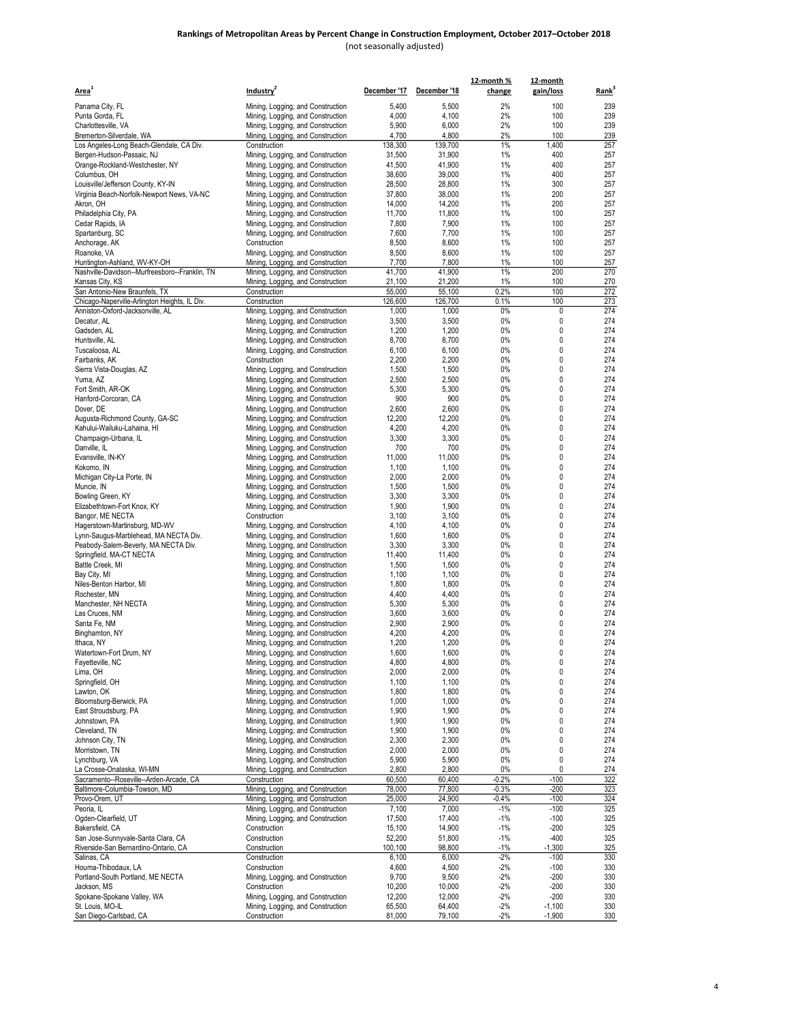| <u>Area<sup>1</sup></u>                                                           | Industry <sup>2</sup>                                                  | December '17     | December '18     | 12-month %<br>change | 12-month<br>gain/loss | Rank <sup>3</sup> |
|-----------------------------------------------------------------------------------|------------------------------------------------------------------------|------------------|------------------|----------------------|-----------------------|-------------------|
| Panama City, FL                                                                   | Mining, Logging, and Construction                                      | 5,400            | 5,500            | 2%                   | 100                   | 239               |
| Punta Gorda, FL                                                                   | Mining, Logging, and Construction                                      | 4,000            | 4,100            | 2%                   | 100                   | 239               |
| Charlottesville, VA                                                               | Mining, Logging, and Construction                                      | 5,900            | 6,000            | 2%                   | 100                   | 239               |
| Bremerton-Silverdale, WA                                                          | Mining, Logging, and Construction                                      | 4,700            | 4,800            | 2%                   | 100                   | 239               |
| Los Angeles-Long Beach-Glendale, CA Div.                                          | Construction                                                           | 138,300          | 139,700          | 1%                   | 1,400                 | 257               |
| Bergen-Hudson-Passaic, NJ                                                         | Mining, Logging, and Construction                                      | 31,500<br>41,500 | 31,900<br>41,900 | 1%<br>1%             | 400<br>400            | 257<br>257        |
| Orange-Rockland-Westchester, NY<br>Columbus, OH                                   | Mining, Logging, and Construction<br>Mining, Logging, and Construction | 38,600           | 39,000           | 1%                   | 400                   | 257               |
| Louisville/Jefferson County, KY-IN                                                | Mining, Logging, and Construction                                      | 28,500           | 28,800           | 1%                   | 300                   | 257               |
| Virginia Beach-Norfolk-Newport News, VA-NC                                        | Mining, Logging, and Construction                                      | 37,800           | 38,000           | 1%                   | 200                   | 257               |
| Akron, OH                                                                         | Mining, Logging, and Construction                                      | 14,000           | 14,200           | 1%                   | 200                   | 257               |
| Philadelphia City, PA                                                             | Mining, Logging, and Construction                                      | 11,700           | 11,800           | 1%                   | 100                   | 257               |
| Cedar Rapids, IA                                                                  | Mining, Logging, and Construction                                      | 7,800            | 7,900            | 1%                   | 100                   | 257               |
| Spartanburg, SC<br>Anchorage, AK                                                  | Mining, Logging, and Construction<br>Construction                      | 7,600<br>8,500   | 7,700<br>8,600   | 1%<br>1%             | 100<br>100            | 257<br>257        |
| Roanoke, VA                                                                       | Mining, Logging, and Construction                                      | 8,500            | 8,600            | 1%                   | 100                   | 257               |
| Huntington-Ashland, WV-KY-OH                                                      | Mining, Logging, and Construction                                      | 7,700            | 7,800            | 1%                   | 100                   | 257               |
| Nashville-Davidson--Murfreesboro--Franklin, TN                                    | Mining, Logging, and Construction                                      | 41,700           | 41,900           | 1%                   | 200                   | 270               |
| Kansas City, KS                                                                   | Mining, Logging, and Construction                                      | 21,100           | 21,200           | 1%                   | 100                   | 270               |
| San Antonio-New Braunfels, TX                                                     | Construction                                                           | 55,000           | 55,100           | 0.2%                 | 100                   | 272               |
| Chicago-Naperville-Arlington Heights, IL Div.<br>Anniston-Oxford-Jacksonville, AL | Construction<br>Mining, Logging, and Construction                      | 126,600<br>1,000 | 126,700<br>1,000 | 0.1%<br>0%           | 100<br>0              | 273<br>274        |
| Decatur, AL                                                                       | Mining, Logging, and Construction                                      | 3,500            | 3,500            | 0%                   | 0                     | 274               |
| Gadsden, AL                                                                       | Mining, Logging, and Construction                                      | 1,200            | 1,200            | 0%                   | 0                     | 274               |
| Huntsville, AL                                                                    | Mining, Logging, and Construction                                      | 8,700            | 8,700            | 0%                   | 0                     | 274               |
| Tuscaloosa, AL                                                                    | Mining, Logging, and Construction                                      | 6,100            | 6,100            | 0%                   | 0                     | 274               |
| Fairbanks, AK                                                                     | Construction                                                           | 2,200            | 2,200            | 0%                   | 0                     | 274               |
| Sierra Vista-Douglas, AZ                                                          | Mining, Logging, and Construction                                      | 1,500            | 1,500            | 0%                   | 0                     | 274               |
| Yuma, AZ<br>Fort Smith, AR-OK                                                     | Mining, Logging, and Construction<br>Mining, Logging, and Construction | 2,500<br>5,300   | 2,500<br>5,300   | 0%<br>0%             | 0<br>0                | 274<br>274        |
| Hanford-Corcoran, CA                                                              | Mining, Logging, and Construction                                      | 900              | 900              | 0%                   | 0                     | 274               |
| Dover, DE                                                                         | Mining, Logging, and Construction                                      | 2,600            | 2,600            | 0%                   | 0                     | 274               |
| Augusta-Richmond County, GA-SC                                                    | Mining, Logging, and Construction                                      | 12,200           | 12,200           | 0%                   | 0                     | 274               |
| Kahului-Wailuku-Lahaina, HI                                                       | Mining, Logging, and Construction                                      | 4,200            | 4,200            | 0%                   | 0                     | 274               |
| Champaign-Urbana, IL                                                              | Mining, Logging, and Construction                                      | 3,300            | 3,300            | 0%                   | 0                     | 274               |
| Danville, IL                                                                      | Mining, Logging, and Construction                                      | 700<br>11,000    | 700<br>11,000    | 0%<br>0%             | 0<br>0                | 274<br>274        |
| Evansville, IN-KY<br>Kokomo, IN                                                   | Mining, Logging, and Construction<br>Mining, Logging, and Construction | 1,100            | 1,100            | 0%                   | 0                     | 274               |
| Michigan City-La Porte, IN                                                        | Mining, Logging, and Construction                                      | 2,000            | 2,000            | 0%                   | 0                     | 274               |
| Muncie, IN                                                                        | Mining, Logging, and Construction                                      | 1,500            | 1,500            | 0%                   | 0                     | 274               |
| Bowling Green, KY                                                                 | Mining, Logging, and Construction                                      | 3,300            | 3,300            | 0%                   | 0                     | 274               |
| Elizabethtown-Fort Knox, KY                                                       | Mining, Logging, and Construction                                      | 1,900            | 1,900            | 0%                   | 0                     | 274               |
| Bangor, ME NECTA                                                                  | Construction                                                           | 3,100            | 3,100            | 0%                   | 0                     | 274               |
| Hagerstown-Martinsburg, MD-WV                                                     | Mining, Logging, and Construction                                      | 4,100            | 4,100            | 0%<br>0%             | 0<br>0                | 274<br>274        |
| Lynn-Saugus-Marblehead, MA NECTA Div.<br>Peabody-Salem-Beverly, MA NECTA Div.     | Mining, Logging, and Construction<br>Mining, Logging, and Construction | 1,600<br>3,300   | 1,600<br>3,300   | 0%                   | 0                     | 274               |
| Springfield, MA-CT NECTA                                                          | Mining, Logging, and Construction                                      | 11,400           | 11,400           | 0%                   | 0                     | 274               |
| Battle Creek, MI                                                                  | Mining, Logging, and Construction                                      | 1,500            | 1,500            | 0%                   | 0                     | 274               |
| Bay City, MI                                                                      | Mining, Logging, and Construction                                      | 1,100            | 1,100            | 0%                   | 0                     | 274               |
| Niles-Benton Harbor, MI                                                           | Mining, Logging, and Construction                                      | 1,800            | 1,800            | 0%                   | 0                     | 274               |
| Rochester, MN                                                                     | Mining, Logging, and Construction                                      | 4,400            | 4,400            | 0%                   | 0                     | 274               |
| Manchester, NH NECTA<br>Las Cruces, NM                                            | Mining, Logging, and Construction<br>Mining, Logging, and Construction | 5,300<br>3,600   | 5,300<br>3,600   | 0%<br>0%             | 0<br>0                | 274<br>274        |
| Santa Fe, NM                                                                      | Mining, Logging, and Construction                                      | 2,900            | 2,900            | 0%                   | 0                     | 274               |
| Binghamton, NY                                                                    | Mining, Logging, and Construction                                      | 4,200            | 4,200            | 0%                   | 0                     | 274               |
| Ithaca, NY                                                                        | Mining, Logging, and Construction                                      | 1,200            | 1,200            | 0%                   | 0                     | 274               |
| Watertown-Fort Drum, NY                                                           | Mining, Logging, and Construction                                      | 1,600            | 1,600            | $0\%$                | 0                     | 274               |
| Fayetteville, NC                                                                  | Mining, Logging, and Construction                                      | 4,800            | 4,800            | 0%                   | 0                     | 274               |
| Lima, OH                                                                          | Mining, Logging, and Construction                                      | 2,000            | 2,000            | 0%                   | 0                     | 274               |
| Springfield, OH<br>Lawton, OK                                                     | Mining, Logging, and Construction<br>Mining, Logging, and Construction | 1,100<br>1,800   | 1,100<br>1,800   | 0%<br>0%             | 0<br>0                | 274<br>274        |
| Bloomsburg-Berwick, PA                                                            | Mining, Logging, and Construction                                      | 1,000            | 1,000            | 0%                   | 0                     | 274               |
| East Stroudsburg, PA                                                              | Mining, Logging, and Construction                                      | 1,900            | 1,900            | 0%                   | 0                     | 274               |
| Johnstown, PA                                                                     | Mining, Logging, and Construction                                      | 1,900            | 1,900            | 0%                   | 0                     | 274               |
| Cleveland, TN                                                                     | Mining, Logging, and Construction                                      | 1,900            | 1,900            | 0%                   | 0                     | 274               |
| Johnson City, TN                                                                  | Mining, Logging, and Construction                                      | 2,300            | 2,300            | 0%                   | 0                     | 274               |
| Morristown, TN                                                                    | Mining, Logging, and Construction                                      | 2,000            | 2,000<br>5,900   | 0%<br>0%             | 0<br>0                | 274<br>274        |
| Lynchburg, VA<br>La Crosse-Onalaska, WI-MN                                        | Mining, Logging, and Construction<br>Mining, Logging, and Construction | 5,900<br>2,800   | 2,800            | 0%                   | 0                     | 274               |
| Sacramento--Roseville--Arden-Arcade, CA                                           | Construction                                                           | 60,500           | 60,400           | $-0.2%$              | $-100$                | 322               |
| Baltimore-Columbia-Towson, MD                                                     | Mining, Logging, and Construction                                      | 78,000           | 77,800           | -0.3%                | -200                  | 323               |
| Provo-Orem, UT                                                                    | Mining, Logging, and Construction                                      | 25,000           | 24,900           | $-0.4%$              | $-100$                | 324               |
| Peoria, IL                                                                        | Mining, Logging, and Construction                                      | 7,100            | 7,000            | $-1%$                | $-100$                | 325               |
| Ogden-Clearfield, UT                                                              | Mining, Logging, and Construction                                      | 17,500           | 17,400           | $-1%$                | $-100$                | 325               |
| Bakersfield, CA<br>San Jose-Sunnyvale-Santa Clara, CA                             | Construction<br>Construction                                           | 15,100<br>52,200 | 14,900<br>51,800 | $-1%$<br>$-1%$       | $-200$<br>$-400$      | 325<br>325        |
| Riverside-San Bernardino-Ontario, CA                                              | Construction                                                           | 100,100          | 98,800           | $-1%$                | $-1,300$              | 325               |
| Salinas, CA                                                                       | Construction                                                           | 6,100            | 6,000            | $-2%$                | $-100$                | 330               |
| Houma-Thibodaux, LA                                                               | Construction                                                           | 4,600            | 4,500            | $-2%$                | $-100$                | 330               |
| Portland-South Portland, ME NECTA                                                 | Mining, Logging, and Construction                                      | 9,700            | 9,500            | $-2%$                | $-200$                | 330               |
| Jackson, MS                                                                       | Construction                                                           | 10,200           | 10,000           | $-2%$                | $-200$                | 330               |
| Spokane-Spokane Valley, WA<br>St. Louis, MO-IL                                    | Mining, Logging, and Construction<br>Mining, Logging, and Construction | 12,200<br>65,500 | 12,000<br>64,400 | $-2%$<br>$-2%$       | $-200$<br>$-1,100$    | 330<br>330        |
| San Diego-Carlsbad, CA                                                            | Construction                                                           | 81,000           | 79,100           | $-2\%$               | $-1,900$              | 330               |
|                                                                                   |                                                                        |                  |                  |                      |                       |                   |